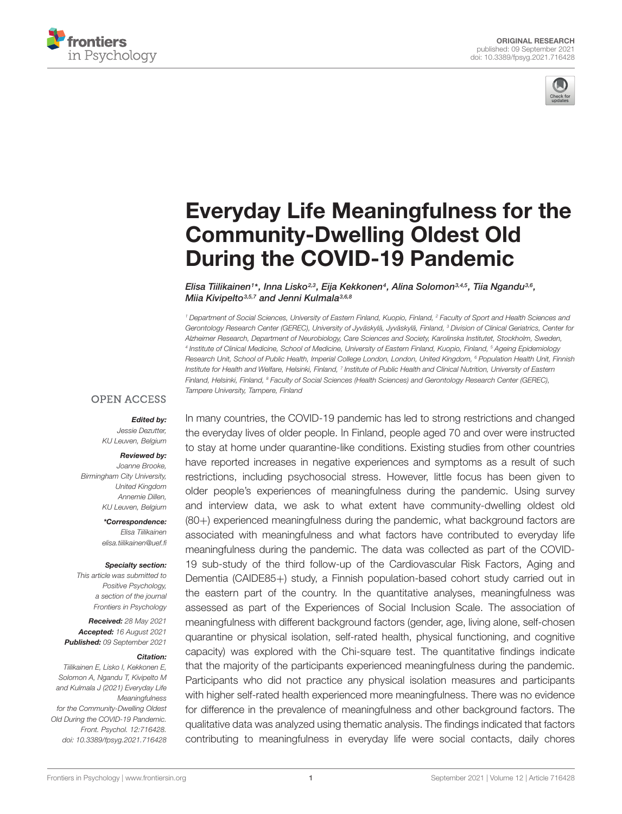<span id="page-0-0"></span>



# [Everyday Life Meaningfulness for the](https://www.frontiersin.org/articles/10.3389/fpsyg.2021.716428/full) Community-Dwelling Oldest Old During the COVID-19 Pandemic

Elisa Tiilikainen1\*, Inna Lisko23, Eija Kekkonen<sup>4</sup>, Alina Solomon<sup>3,4,5</sup>, Tiia Ngandu<sup>3,6</sup>, Miia Kivipelto<sup>3,5,7</sup> and Jenni Kulmala<sup>3,6,8</sup>

<sup>1</sup> Department of Social Sciences, University of Eastern Finland, Kuopio, Finland, <sup>2</sup> Faculty of Sport and Health Sciences and Gerontology Research Center (GEREC), University of Jyväskylä, Jyväskylä, Finland, <sup>3</sup> Division of Clinical Geriatrics, Center for Alzheimer Research, Department of Neurobiology, Care Sciences and Society, Karolinska Institutet, Stockholm, Sweden, 4 Institute of Clinical Medicine, School of Medicine, University of Eastern Finland, Kuopio, Finland, <sup>5</sup> Ageing Epidemiology Research Unit, School of Public Health, Imperial College London, London, United Kingdom, <sup>6</sup> Population Health Unit, Finnish Institute for Health and Welfare, Helsinki, Finland, 7 Institute of Public Health and Clinical Nutrition, University of Eastern Finland, Helsinki, Finland, <sup>8</sup> Faculty of Social Sciences (Health Sciences) and Gerontology Research Center (GEREC), Tampere University, Tampere, Finland

#### **OPEN ACCESS**

#### Edited by:

Jessie Dezutter, KU Leuven, Belgium

#### Reviewed by:

Joanne Brooke, Birmingham City University, United Kingdom Annemie Dillen, KU Leuven, Belgium

> \*Correspondence: Elisa Tiilikainen elisa tiilikainen@uef fi

#### Specialty section:

This article was submitted to Positive Psychology, a section of the journal Frontiers in Psychology

Received: 28 May 2021 Accepted: 16 August 2021 Published: 09 September 2021

#### Citation:

Tiilikainen E, Lisko I, Kekkonen E, Solomon A, Ngandu T, Kivipelto M and Kulmala J (2021) Everyday Life Meaningfulness for the Community-Dwelling Oldest Old During the COVID-19 Pandemic. Front. Psychol. 12:716428. doi: [10.3389/fpsyg.2021.716428](https://doi.org/10.3389/fpsyg.2021.716428) In many countries, the COVID-19 pandemic has led to strong restrictions and changed the everyday lives of older people. In Finland, people aged 70 and over were instructed to stay at home under quarantine-like conditions. Existing studies from other countries have reported increases in negative experiences and symptoms as a result of such restrictions, including psychosocial stress. However, little focus has been given to older people's experiences of meaningfulness during the pandemic. Using survey and interview data, we ask to what extent have community-dwelling oldest old (80+) experienced meaningfulness during the pandemic, what background factors are associated with meaningfulness and what factors have contributed to everyday life meaningfulness during the pandemic. The data was collected as part of the COVID-19 sub-study of the third follow-up of the Cardiovascular Risk Factors, Aging and Dementia (CAIDE85+) study, a Finnish population-based cohort study carried out in the eastern part of the country. In the quantitative analyses, meaningfulness was assessed as part of the Experiences of Social Inclusion Scale. The association of meaningfulness with different background factors (gender, age, living alone, self-chosen quarantine or physical isolation, self-rated health, physical functioning, and cognitive capacity) was explored with the Chi-square test. The quantitative findings indicate that the majority of the participants experienced meaningfulness during the pandemic. Participants who did not practice any physical isolation measures and participants with higher self-rated health experienced more meaningfulness. There was no evidence for difference in the prevalence of meaningfulness and other background factors. The qualitative data was analyzed using thematic analysis. The findings indicated that factors contributing to meaningfulness in everyday life were social contacts, daily chores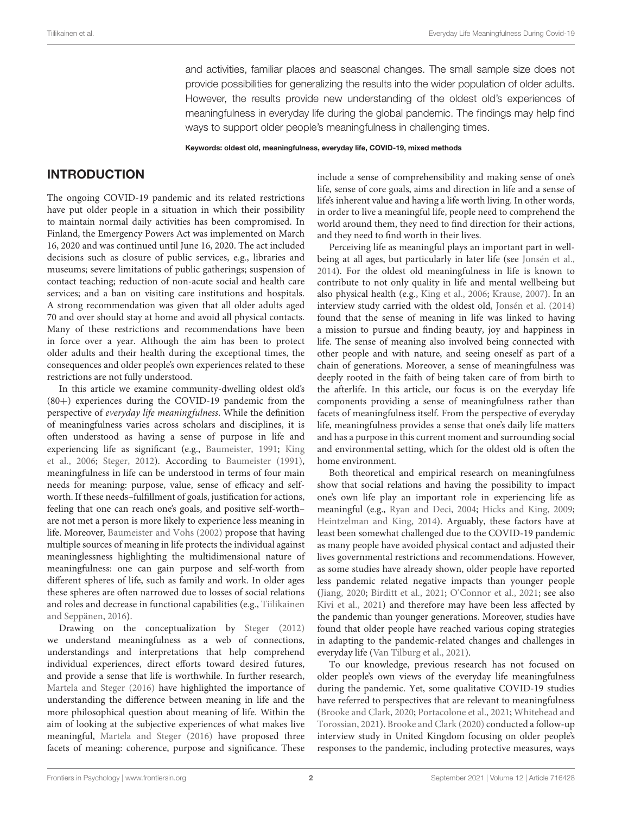and activities, familiar places and seasonal changes. The small sample size does not provide possibilities for generalizing the results into the wider population of older adults. However, the results provide new understanding of the oldest old's experiences of meaningfulness in everyday life during the global pandemic. The findings may help find ways to support older people's meaningfulness in challenging times.

Keywords: oldest old, meaningfulness, everyday life, COVID-19, mixed methods

### INTRODUCTION

The ongoing COVID-19 pandemic and its related restrictions have put older people in a situation in which their possibility to maintain normal daily activities has been compromised. In Finland, the Emergency Powers Act was implemented on March 16, 2020 and was continued until June 16, 2020. The act included decisions such as closure of public services, e.g., libraries and museums; severe limitations of public gatherings; suspension of contact teaching; reduction of non-acute social and health care services; and a ban on visiting care institutions and hospitals. A strong recommendation was given that all older adults aged 70 and over should stay at home and avoid all physical contacts. Many of these restrictions and recommendations have been in force over a year. Although the aim has been to protect older adults and their health during the exceptional times, the consequences and older people's own experiences related to these restrictions are not fully understood.

In this article we examine community-dwelling oldest old's (80+) experiences during the COVID-19 pandemic from the perspective of everyday life meaningfulness. While the definition of meaningfulness varies across scholars and disciplines, it is often understood as having a sense of purpose in life and experiencing life as significant (e.g., [Baumeister,](#page-12-0) [1991;](#page-12-0) [King](#page-12-1) [et al.,](#page-12-1) [2006;](#page-12-1) [Steger,](#page-12-2) [2012\)](#page-12-2). According to [Baumeister](#page-12-0) [\(1991\)](#page-12-0), meaningfulness in life can be understood in terms of four main needs for meaning: purpose, value, sense of efficacy and selfworth. If these needs–fulfillment of goals, justification for actions, feeling that one can reach one's goals, and positive self-worth– are not met a person is more likely to experience less meaning in life. Moreover, [Baumeister and Vohs](#page-12-3) [\(2002\)](#page-12-3) propose that having multiple sources of meaning in life protects the individual against meaninglessness highlighting the multidimensional nature of meaningfulness: one can gain purpose and self-worth from different spheres of life, such as family and work. In older ages these spheres are often narrowed due to losses of social relations and roles and decrease in functional capabilities (e.g., [Tiilikainen](#page-12-4) [and Seppänen,](#page-12-4) [2016\)](#page-12-4).

Drawing on the conceptualization by [Steger](#page-12-2) [\(2012\)](#page-12-2) we understand meaningfulness as a web of connections, understandings and interpretations that help comprehend individual experiences, direct efforts toward desired futures, and provide a sense that life is worthwhile. In further research, [Martela and Steger](#page-12-5) [\(2016\)](#page-12-5) have highlighted the importance of understanding the difference between meaning in life and the more philosophical question about meaning of life. Within the aim of looking at the subjective experiences of what makes live meaningful, [Martela and Steger](#page-12-5) [\(2016\)](#page-12-5) have proposed three facets of meaning: coherence, purpose and significance. These

include a sense of comprehensibility and making sense of one's life, sense of core goals, aims and direction in life and a sense of life's inherent value and having a life worth living. In other words, in order to live a meaningful life, people need to comprehend the world around them, they need to find direction for their actions, and they need to find worth in their lives.

Perceiving life as meaningful plays an important part in wellbeing at all ages, but particularly in later life (see [Jonsén et al.,](#page-12-6) [2014\)](#page-12-6). For the oldest old meaningfulness in life is known to contribute to not only quality in life and mental wellbeing but also physical health (e.g., [King et al.,](#page-12-1) [2006;](#page-12-1) [Krause,](#page-12-7) [2007\)](#page-12-7). In an interview study carried with the oldest old, [Jonsén et al.](#page-12-6) [\(2014\)](#page-12-6) found that the sense of meaning in life was linked to having a mission to pursue and finding beauty, joy and happiness in life. The sense of meaning also involved being connected with other people and with nature, and seeing oneself as part of a chain of generations. Moreover, a sense of meaningfulness was deeply rooted in the faith of being taken care of from birth to the afterlife. In this article, our focus is on the everyday life components providing a sense of meaningfulness rather than facets of meaningfulness itself. From the perspective of everyday life, meaningfulness provides a sense that one's daily life matters and has a purpose in this current moment and surrounding social and environmental setting, which for the oldest old is often the home environment.

Both theoretical and empirical research on meaningfulness show that social relations and having the possibility to impact one's own life play an important role in experiencing life as meaningful (e.g., [Ryan and Deci,](#page-12-8) [2004;](#page-12-8) [Hicks and King,](#page-12-9) [2009;](#page-12-9) [Heintzelman and King,](#page-12-10) [2014\)](#page-12-10). Arguably, these factors have at least been somewhat challenged due to the COVID-19 pandemic as many people have avoided physical contact and adjusted their lives governmental restrictions and recommendations. However, as some studies have already shown, older people have reported less pandemic related negative impacts than younger people [\(Jiang,](#page-12-11) [2020;](#page-12-11) [Birditt et al.,](#page-12-12) [2021;](#page-12-12) [O'Connor et al.,](#page-12-13) [2021;](#page-12-13) see also [Kivi et al.,](#page-12-14) [2021\)](#page-12-14) and therefore may have been less affected by the pandemic than younger generations. Moreover, studies have found that older people have reached various coping strategies in adapting to the pandemic-related changes and challenges in everyday life [\(Van Tilburg et al.,](#page-12-15) [2021\)](#page-12-15).

To our knowledge, previous research has not focused on older people's own views of the everyday life meaningfulness during the pandemic. Yet, some qualitative COVID-19 studies have referred to perspectives that are relevant to meaningfulness [\(Brooke and Clark,](#page-12-16) [2020;](#page-12-16) [Portacolone et al.,](#page-12-17) [2021;](#page-12-17) [Whitehead and](#page-12-18) [Torossian,](#page-12-18) [2021\)](#page-12-18). [Brooke and Clark](#page-12-16) [\(2020\)](#page-12-16) conducted a follow-up interview study in United Kingdom focusing on older people's responses to the pandemic, including protective measures, ways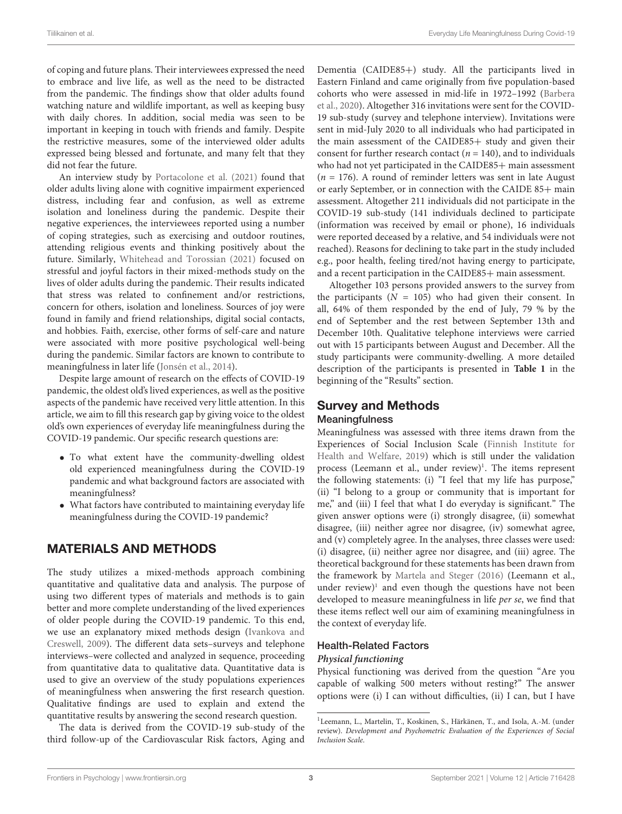of coping and future plans. Their interviewees expressed the need to embrace and live life, as well as the need to be distracted from the pandemic. The findings show that older adults found watching nature and wildlife important, as well as keeping busy with daily chores. In addition, social media was seen to be important in keeping in touch with friends and family. Despite the restrictive measures, some of the interviewed older adults expressed being blessed and fortunate, and many felt that they did not fear the future.

An interview study by [Portacolone et al.](#page-12-17) [\(2021\)](#page-12-17) found that older adults living alone with cognitive impairment experienced distress, including fear and confusion, as well as extreme isolation and loneliness during the pandemic. Despite their negative experiences, the interviewees reported using a number of coping strategies, such as exercising and outdoor routines, attending religious events and thinking positively about the future. Similarly, [Whitehead and Torossian](#page-12-18) [\(2021\)](#page-12-18) focused on stressful and joyful factors in their mixed-methods study on the lives of older adults during the pandemic. Their results indicated that stress was related to confinement and/or restrictions, concern for others, isolation and loneliness. Sources of joy were found in family and friend relationships, digital social contacts, and hobbies. Faith, exercise, other forms of self-care and nature were associated with more positive psychological well-being during the pandemic. Similar factors are known to contribute to meaningfulness in later life [\(Jonsén et al.,](#page-12-6) [2014\)](#page-12-6).

Despite large amount of research on the effects of COVID-19 pandemic, the oldest old's lived experiences, as well as the positive aspects of the pandemic have received very little attention. In this article, we aim to fill this research gap by giving voice to the oldest old's own experiences of everyday life meaningfulness during the COVID-19 pandemic. Our specific research questions are:

- To what extent have the community-dwelling oldest old experienced meaningfulness during the COVID-19 pandemic and what background factors are associated with meaningfulness?
- What factors have contributed to maintaining everyday life meaningfulness during the COVID-19 pandemic?

### MATERIALS AND METHODS

The study utilizes a mixed-methods approach combining quantitative and qualitative data and analysis. The purpose of using two different types of materials and methods is to gain better and more complete understanding of the lived experiences of older people during the COVID-19 pandemic. To this end, we use an explanatory mixed methods design [\(Ivankova and](#page-12-19) [Creswell,](#page-12-19) [2009\)](#page-12-19). The different data sets–surveys and telephone interviews–were collected and analyzed in sequence, proceeding from quantitative data to qualitative data. Quantitative data is used to give an overview of the study populations experiences of meaningfulness when answering the first research question. Qualitative findings are used to explain and extend the quantitative results by answering the second research question.

The data is derived from the COVID-19 sub-study of the third follow-up of the Cardiovascular Risk factors, Aging and

Dementia (CAIDE85+) study. All the participants lived in Eastern Finland and came originally from five population-based cohorts who were assessed in mid-life in 1972–1992 [\(Barbera](#page-12-20) [et al.,](#page-12-20) [2020\)](#page-12-20). Altogether 316 invitations were sent for the COVID-19 sub-study (survey and telephone interview). Invitations were sent in mid-July 2020 to all individuals who had participated in the main assessment of the CAIDE85+ study and given their consent for further research contact ( $n = 140$ ), and to individuals who had not vet participated in the CAIDE85+ main assessment  $(n = 176)$ . A round of reminder letters was sent in late August or early September, or in connection with the CAIDE 85+ main assessment. Altogether 211 individuals did not participate in the COVID-19 sub-study (141 individuals declined to participate (information was received by email or phone), 16 individuals were reported deceased by a relative, and 54 individuals were not reached). Reasons for declining to take part in the study included e.g., poor health, feeling tired/not having energy to participate, and a recent participation in the CAIDE85+ main assessment.

Altogether 103 persons provided answers to the survey from the participants  $(N = 105)$  who had given their consent. In all, 64% of them responded by the end of July, 79 % by the end of September and the rest between September 13th and December 10th. Qualitative telephone interviews were carried out with 15 participants between August and December. All the study participants were community-dwelling. A more detailed description of the participants is presented in **[Table 1](#page-3-0)** in the beginning of the "Results" section.

# Survey and Methods

#### Meaningfulness

Meaningfulness was assessed with three items drawn from the Experiences of Social Inclusion Scale [\(Finnish Institute for](#page-12-21) [Health and Welfare,](#page-12-21) [2019\)](#page-12-21) which is still under the validation process (Leemann et al., under review)<sup>[1](#page-2-0)</sup>. The items represent the following statements: (i) "I feel that my life has purpose," (ii) "I belong to a group or community that is important for me," and (iii) I feel that what I do everyday is significant." The given answer options were (i) strongly disagree, (ii) somewhat disagree, (iii) neither agree nor disagree, (iv) somewhat agree, and (v) completely agree. In the analyses, three classes were used: (i) disagree, (ii) neither agree nor disagree, and (iii) agree. The theoretical background for these statements has been drawn from the framework by [Martela and Steger](#page-12-5) [\(2016\)](#page-12-5) (Leemann et al., under review)<sup>[1](#page-2-0)</sup> and even though the questions have not been developed to measure meaningfulness in life per se, we find that these items reflect well our aim of examining meaningfulness in the context of everyday life.

#### Health-Related Factors

#### **Physical functioning**

Physical functioning was derived from the question "Are you capable of walking 500 meters without resting?" The answer options were (i) I can without difficulties, (ii) I can, but I have

<span id="page-2-0"></span><sup>&</sup>lt;sup>1</sup> Leemann, L., Martelin, T., Koskinen, S., Härkänen, T., and Isola, A.-M. (under review). Development and Psychometric Evaluation of the Experiences of Social Inclusion Scale.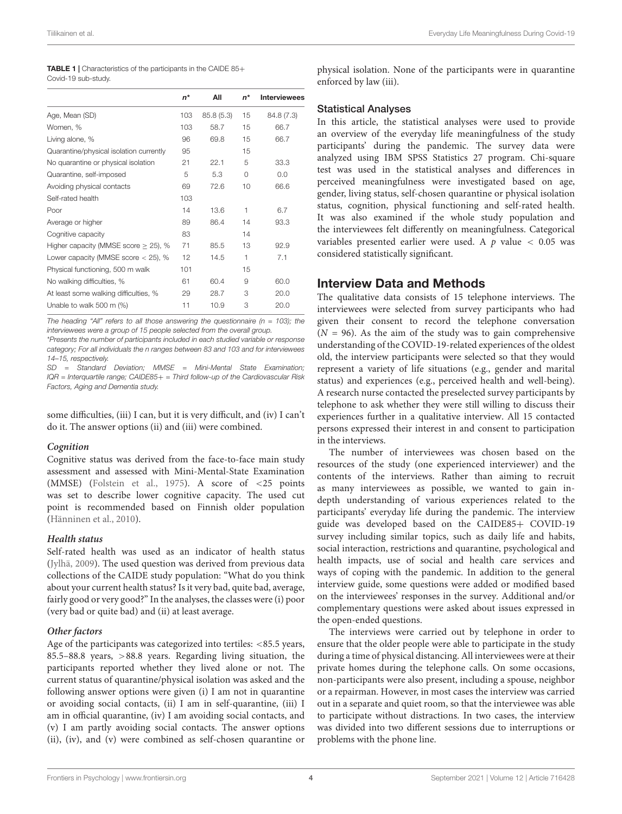<span id="page-3-0"></span>

| <b>TABLE 1</b>   Characteristics of the participants in the CAIDE 85+ |
|-----------------------------------------------------------------------|
| Covid-19 sub-study.                                                   |

|                                           | $n^*$ | All       | $n^*$    | <b>Interviewees</b> |
|-------------------------------------------|-------|-----------|----------|---------------------|
| Age, Mean (SD)                            |       | 85.8(5.3) | 15       | 84.8 (7.3)          |
| Women, %                                  | 103   | 58.7      | 15       | 66.7                |
| Living alone, %                           | 96    | 69.8      | 15       | 66.7                |
| Quarantine/physical isolation currently   | 95    |           | 15       |                     |
| No quarantine or physical isolation       |       | 22.1      | 5        | 33.3                |
| Quarantine, self-imposed                  | 5     | 5.3       | $\Omega$ | 0.0                 |
| Avoiding physical contacts                |       | 72.6      | 10       | 66.6                |
| Self-rated health                         | 103   |           |          |                     |
| Poor                                      | 14    | 13.6      | 1        | 6.7                 |
| Average or higher                         |       | 86.4      | 14       | 93.3                |
| Cognitive capacity                        |       |           | 14       |                     |
| Higher capacity (MMSE score $\geq$ 25), % |       | 85.5      | 13       | 92.9                |
| Lower capacity (MMSE score $<$ 25), %     | 12    | 14.5      | 1        | 7.1                 |
| Physical functioning, 500 m walk          | 101   |           | 15       |                     |
| No walking difficulties, %                |       | 60.4      | 9        | 60.0                |
| At least some walking difficulties, %     |       | 28.7      | 3        | 20.0                |
| Unable to walk 500 m (%)                  | 11    | 10.9      | 3        | 20.0                |

The heading "All" refers to all those answering the questionnaire ( $n = 103$ ); the interviewees were a group of 15 people selected from the overall group.

\*Presents the number of participants included in each studied variable or response category; For all individuals the n ranges between 83 and 103 and for interviewees 14–15, respectively.

SD = Standard Deviation; MMSE = Mini-Mental State Examination;  $IQR = Interquartile range; CAIDE85+ = Third follow-up of the Cardiovascular Risk$ Factors, Aging and Dementia study.

some difficulties, (iii) I can, but it is very difficult, and (iv) I can't do it. The answer options (ii) and (iii) were combined.

#### **Cognition**

Cognitive status was derived from the face-to-face main study assessment and assessed with Mini-Mental-State Examination (MMSE) [\(Folstein et al.,](#page-12-22) [1975\)](#page-12-22). A score of <25 points was set to describe lower cognitive capacity. The used cut point is recommended based on Finnish older population [\(Hänninen et al.,](#page-12-23) [2010\)](#page-12-23).

#### **Health status**

Self-rated health was used as an indicator of health status [\(Jylhä,](#page-12-24) [2009\)](#page-12-24). The used question was derived from previous data collections of the CAIDE study population: "What do you think about your current health status? Is it very bad, quite bad, average, fairly good or very good?" In the analyses, the classes were (i) poor (very bad or quite bad) and (ii) at least average.

#### **Other factors**

Age of the participants was categorized into tertiles: <85.5 years, 85.5–88.8 years, >88.8 years. Regarding living situation, the participants reported whether they lived alone or not. The current status of quarantine/physical isolation was asked and the following answer options were given (i) I am not in quarantine or avoiding social contacts, (ii) I am in self-quarantine, (iii) I am in official quarantine, (iv) I am avoiding social contacts, and (v) I am partly avoiding social contacts. The answer options (ii), (iv), and (v) were combined as self-chosen quarantine or

physical isolation. None of the participants were in quarantine enforced by law (iii).

#### Statistical Analyses

In this article, the statistical analyses were used to provide an overview of the everyday life meaningfulness of the study participants' during the pandemic. The survey data were analyzed using IBM SPSS Statistics 27 program. Chi-square test was used in the statistical analyses and differences in perceived meaningfulness were investigated based on age, gender, living status, self-chosen quarantine or physical isolation status, cognition, physical functioning and self-rated health. It was also examined if the whole study population and the interviewees felt differently on meaningfulness. Categorical variables presented earlier were used. A  $p$  value  $< 0.05$  was considered statistically significant.

#### Interview Data and Methods

The qualitative data consists of 15 telephone interviews. The interviewees were selected from survey participants who had given their consent to record the telephone conversation  $(N = 96)$ . As the aim of the study was to gain comprehensive understanding of the COVID-19-related experiences of the oldest old, the interview participants were selected so that they would represent a variety of life situations (e.g., gender and marital status) and experiences (e.g., perceived health and well-being). A research nurse contacted the preselected survey participants by telephone to ask whether they were still willing to discuss their experiences further in a qualitative interview. All 15 contacted persons expressed their interest in and consent to participation in the interviews.

The number of interviewees was chosen based on the resources of the study (one experienced interviewer) and the contents of the interviews. Rather than aiming to recruit as many interviewees as possible, we wanted to gain indepth understanding of various experiences related to the participants' everyday life during the pandemic. The interview guide was developed based on the CAIDE85+ COVID-19 survey including similar topics, such as daily life and habits, social interaction, restrictions and quarantine, psychological and health impacts, use of social and health care services and ways of coping with the pandemic. In addition to the general interview guide, some questions were added or modified based on the interviewees' responses in the survey. Additional and/or complementary questions were asked about issues expressed in the open-ended questions.

The interviews were carried out by telephone in order to ensure that the older people were able to participate in the study during a time of physical distancing. All interviewees were at their private homes during the telephone calls. On some occasions, non-participants were also present, including a spouse, neighbor or a repairman. However, in most cases the interview was carried out in a separate and quiet room, so that the interviewee was able to participate without distractions. In two cases, the interview was divided into two different sessions due to interruptions or problems with the phone line.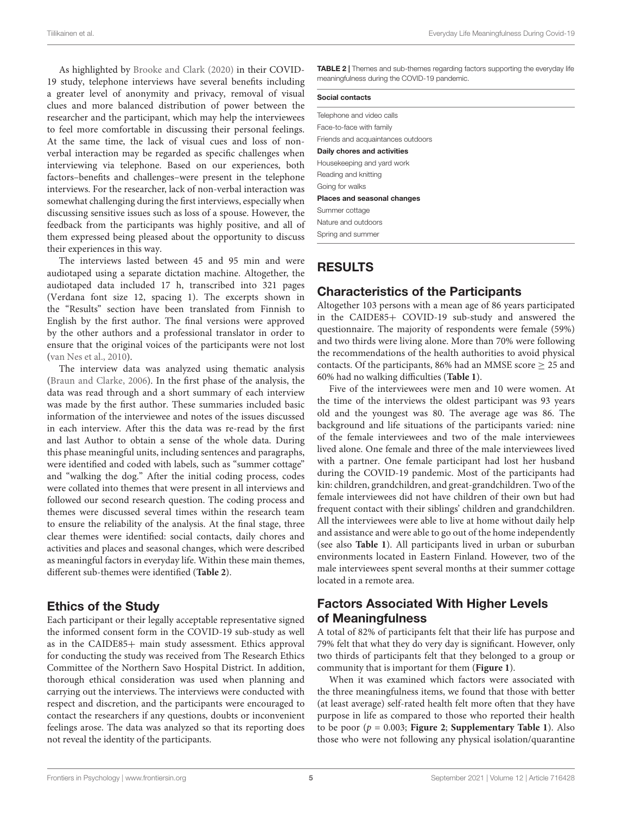As highlighted by [Brooke and Clark](#page-12-16) [\(2020\)](#page-12-16) in their COVID-19 study, telephone interviews have several benefits including a greater level of anonymity and privacy, removal of visual clues and more balanced distribution of power between the researcher and the participant, which may help the interviewees to feel more comfortable in discussing their personal feelings. At the same time, the lack of visual cues and loss of nonverbal interaction may be regarded as specific challenges when interviewing via telephone. Based on our experiences, both factors–benefits and challenges–were present in the telephone interviews. For the researcher, lack of non-verbal interaction was somewhat challenging during the first interviews, especially when discussing sensitive issues such as loss of a spouse. However, the feedback from the participants was highly positive, and all of them expressed being pleased about the opportunity to discuss their experiences in this way.

The interviews lasted between 45 and 95 min and were audiotaped using a separate dictation machine. Altogether, the audiotaped data included 17 h, transcribed into 321 pages (Verdana font size 12, spacing 1). The excerpts shown in the "Results" section have been translated from Finnish to English by the first author. The final versions were approved by the other authors and a professional translator in order to ensure that the original voices of the participants were not lost [\(van Nes et al.,](#page-12-25) [2010\)](#page-12-25).

The interview data was analyzed using thematic analysis [\(Braun and Clarke,](#page-12-26) [2006\)](#page-12-26). In the first phase of the analysis, the data was read through and a short summary of each interview was made by the first author. These summaries included basic information of the interviewee and notes of the issues discussed in each interview. After this the data was re-read by the first and last Author to obtain a sense of the whole data. During this phase meaningful units, including sentences and paragraphs, were identified and coded with labels, such as "summer cottage" and "walking the dog." After the initial coding process, codes were collated into themes that were present in all interviews and followed our second research question. The coding process and themes were discussed several times within the research team to ensure the reliability of the analysis. At the final stage, three clear themes were identified: social contacts, daily chores and activities and places and seasonal changes, which were described as meaningful factors in everyday life. Within these main themes, different sub-themes were identified (**[Table 2](#page-4-0)**).

### Ethics of the Study

Each participant or their legally acceptable representative signed the informed consent form in the COVID-19 sub-study as well as in the CAIDE85+ main study assessment. Ethics approval for conducting the study was received from The Research Ethics Committee of the Northern Savo Hospital District. In addition, thorough ethical consideration was used when planning and carrying out the interviews. The interviews were conducted with respect and discretion, and the participants were encouraged to contact the researchers if any questions, doubts or inconvenient feelings arose. The data was analyzed so that its reporting does not reveal the identity of the participants.

<span id="page-4-0"></span>**TABLE 2** | Themes and sub-themes regarding factors supporting the everyday life meaningfulness during the COVID-19 pandemic.

| Social contacts                    |
|------------------------------------|
| Telephone and video calls          |
| Face-to-face with family           |
| Friends and acquaintances outdoors |
| Daily chores and activities        |
| Housekeeping and yard work         |
| Reading and knitting               |
| Going for walks                    |
| Places and seasonal changes        |
| Summer cottage                     |
| Nature and outdoors                |
| Spring and summer                  |

### RESULTS

### Characteristics of the Participants

Altogether 103 persons with a mean age of 86 years participated in the CAIDE85+ COVID-19 sub-study and answered the questionnaire. The majority of respondents were female (59%) and two thirds were living alone. More than 70% were following the recommendations of the health authorities to avoid physical contacts. Of the participants, 86% had an MMSE score  $\geq$  25 and 60% had no walking difficulties (**[Table 1](#page-3-0)**).

Five of the interviewees were men and 10 were women. At the time of the interviews the oldest participant was 93 years old and the youngest was 80. The average age was 86. The background and life situations of the participants varied: nine of the female interviewees and two of the male interviewees lived alone. One female and three of the male interviewees lived with a partner. One female participant had lost her husband during the COVID-19 pandemic. Most of the participants had kin: children, grandchildren, and great-grandchildren. Two of the female interviewees did not have children of their own but had frequent contact with their siblings' children and grandchildren. All the interviewees were able to live at home without daily help and assistance and were able to go out of the home independently (see also **[Table 1](#page-3-0)**). All participants lived in urban or suburban environments located in Eastern Finland. However, two of the male interviewees spent several months at their summer cottage located in a remote area.

### Factors Associated With Higher Levels of Meaningfulness

A total of 82% of participants felt that their life has purpose and 79% felt that what they do very day is significant. However, only two thirds of participants felt that they belonged to a group or community that is important for them (**[Figure 1](#page-5-0)**).

When it was examined which factors were associated with the three meaningfulness items, we found that those with better (at least average) self-rated health felt more often that they have purpose in life as compared to those who reported their health to be poor  $(p = 0.003;$  **[Figure 2](#page-5-1)**; **[Supplementary Table 1](#page-11-0)**). Also those who were not following any physical isolation/quarantine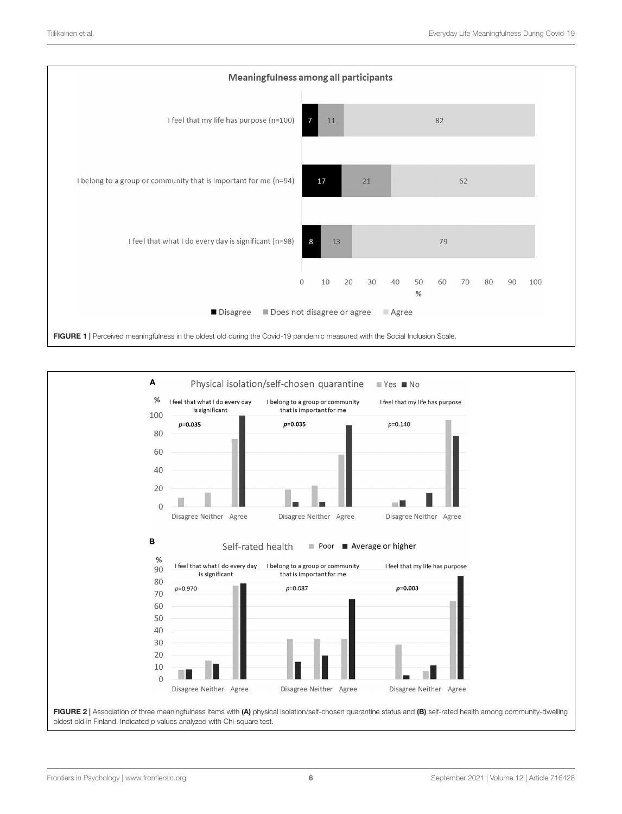

<span id="page-5-1"></span><span id="page-5-0"></span>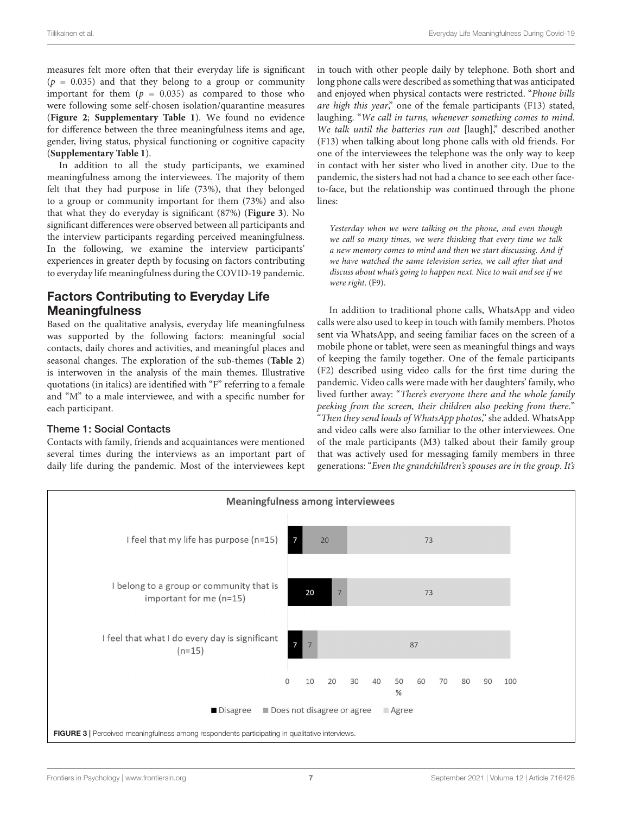measures felt more often that their everyday life is significant  $(p = 0.035)$  and that they belong to a group or community important for them  $(p = 0.035)$  as compared to those who were following some self-chosen isolation/quarantine measures (**[Figure 2](#page-5-1)**; **[Supplementary Table 1](#page-11-0)**). We found no evidence for difference between the three meaningfulness items and age, gender, living status, physical functioning or cognitive capacity (**[Supplementary Table 1](#page-11-0)**).

In addition to all the study participants, we examined meaningfulness among the interviewees. The majority of them felt that they had purpose in life (73%), that they belonged to a group or community important for them (73%) and also that what they do everyday is significant (87%) (**[Figure 3](#page-6-0)**). No significant differences were observed between all participants and the interview participants regarding perceived meaningfulness. In the following, we examine the interview participants' experiences in greater depth by focusing on factors contributing to everyday life meaningfulness during the COVID-19 pandemic.

# Factors Contributing to Everyday Life **Meaningfulness**

Based on the qualitative analysis, everyday life meaningfulness was supported by the following factors: meaningful social contacts, daily chores and activities, and meaningful places and seasonal changes. The exploration of the sub-themes (**[Table 2](#page-4-0)**) is interwoven in the analysis of the main themes. Illustrative quotations (in italics) are identified with "F" referring to a female and "M" to a male interviewee, and with a specific number for each participant.

#### Theme 1: Social Contacts

Contacts with family, friends and acquaintances were mentioned several times during the interviews as an important part of daily life during the pandemic. Most of the interviewees kept in touch with other people daily by telephone. Both short and long phone calls were described as something that was anticipated and enjoyed when physical contacts were restricted. "Phone bills are high this year," one of the female participants (F13) stated, laughing. "We call in turns, whenever something comes to mind. We talk until the batteries run out [laugh]," described another (F13) when talking about long phone calls with old friends. For one of the interviewees the telephone was the only way to keep in contact with her sister who lived in another city. Due to the pandemic, the sisters had not had a chance to see each other faceto-face, but the relationship was continued through the phone lines:

Yesterday when we were talking on the phone, and even though we call so many times, we were thinking that every time we talk a new memory comes to mind and then we start discussing. And if we have watched the same television series, we call after that and discuss about what's going to happen next. Nice to wait and see if we were right. (F9).

In addition to traditional phone calls, WhatsApp and video calls were also used to keep in touch with family members. Photos sent via WhatsApp, and seeing familiar faces on the screen of a mobile phone or tablet, were seen as meaningful things and ways of keeping the family together. One of the female participants (F2) described using video calls for the first time during the pandemic. Video calls were made with her daughters' family, who lived further away: "There's everyone there and the whole family peeking from the screen, their children also peeking from there." "Then they send loads of WhatsApp photos," she added. WhatsApp and video calls were also familiar to the other interviewees. One of the male participants (M3) talked about their family group that was actively used for messaging family members in three generations: "Even the grandchildren's spouses are in the group. It's

<span id="page-6-0"></span>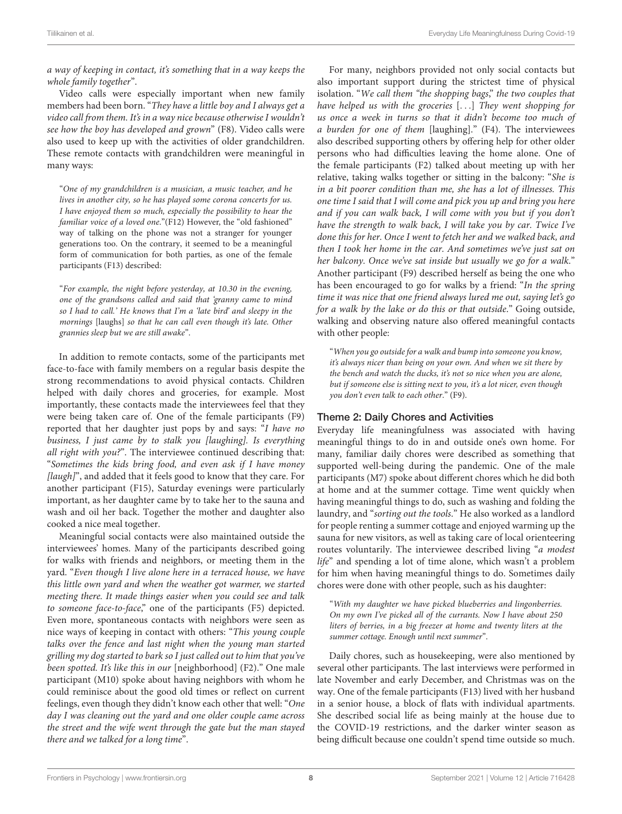a way of keeping in contact, it's something that in a way keeps the whole family together".

Video calls were especially important when new family members had been born. "They have a little boy and I always get a video call from them. It's in a way nice because otherwise I wouldn't see how the boy has developed and grown" (F8). Video calls were also used to keep up with the activities of older grandchildren. These remote contacts with grandchildren were meaningful in many ways:

"One of my grandchildren is a musician, a music teacher, and he lives in another city, so he has played some corona concerts for us. I have enjoyed them so much, especially the possibility to hear the familiar voice of a loved one."(F12) However, the "old fashioned" way of talking on the phone was not a stranger for younger generations too. On the contrary, it seemed to be a meaningful form of communication for both parties, as one of the female participants (F13) described:

"For example, the night before yesterday, at 10.30 in the evening, one of the grandsons called and said that 'granny came to mind so I had to call.' He knows that I'm a 'late bird' and sleepy in the mornings [laughs] so that he can call even though it's late. Other grannies sleep but we are still awake".

In addition to remote contacts, some of the participants met face-to-face with family members on a regular basis despite the strong recommendations to avoid physical contacts. Children helped with daily chores and groceries, for example. Most importantly, these contacts made the interviewees feel that they were being taken care of. One of the female participants (F9) reported that her daughter just pops by and says: "I have no business, I just came by to stalk you [laughing]. Is everything all right with you?". The interviewee continued describing that: "Sometimes the kids bring food, and even ask if I have money [laugh]", and added that it feels good to know that they care. For another participant (F15), Saturday evenings were particularly important, as her daughter came by to take her to the sauna and wash and oil her back. Together the mother and daughter also cooked a nice meal together.

Meaningful social contacts were also maintained outside the interviewees' homes. Many of the participants described going for walks with friends and neighbors, or meeting them in the yard. "Even though I live alone here in a terraced house, we have this little own yard and when the weather got warmer, we started meeting there. It made things easier when you could see and talk to someone face-to-face," one of the participants (F5) depicted. Even more, spontaneous contacts with neighbors were seen as nice ways of keeping in contact with others: "This young couple talks over the fence and last night when the young man started grilling my dog started to bark so I just called out to him that you've been spotted. It's like this in our [neighborhood] (F2)." One male participant (M10) spoke about having neighbors with whom he could reminisce about the good old times or reflect on current feelings, even though they didn't know each other that well: "One day I was cleaning out the yard and one older couple came across the street and the wife went through the gate but the man stayed there and we talked for a long time".

For many, neighbors provided not only social contacts but also important support during the strictest time of physical isolation. "We call them "the shopping bags," the two couples that have helped us with the groceries [...] They went shopping for us once a week in turns so that it didn't become too much of a burden for one of them [laughing]." (F4). The interviewees also described supporting others by offering help for other older persons who had difficulties leaving the home alone. One of the female participants (F2) talked about meeting up with her relative, taking walks together or sitting in the balcony: "She is in a bit poorer condition than me, she has a lot of illnesses. This one time I said that I will come and pick you up and bring you here and if you can walk back, I will come with you but if you don't have the strength to walk back, I will take you by car. Twice I've done this for her. Once I went to fetch her and we walked back, and then I took her home in the car. And sometimes we've just sat on her balcony. Once we've sat inside but usually we go for a walk." Another participant (F9) described herself as being the one who has been encouraged to go for walks by a friend: "In the spring time it was nice that one friend always lured me out, saying let's go for a walk by the lake or do this or that outside." Going outside, walking and observing nature also offered meaningful contacts with other people:

"When you go outside for a walk and bump into someone you know, it's always nicer than being on your own. And when we sit there by the bench and watch the ducks, it's not so nice when you are alone, but if someone else is sitting next to you, it's a lot nicer, even though you don't even talk to each other." (F9).

#### Theme 2: Daily Chores and Activities

Everyday life meaningfulness was associated with having meaningful things to do in and outside one's own home. For many, familiar daily chores were described as something that supported well-being during the pandemic. One of the male participants (M7) spoke about different chores which he did both at home and at the summer cottage. Time went quickly when having meaningful things to do, such as washing and folding the laundry, and "sorting out the tools." He also worked as a landlord for people renting a summer cottage and enjoyed warming up the sauna for new visitors, as well as taking care of local orienteering routes voluntarily. The interviewee described living "a modest life" and spending a lot of time alone, which wasn't a problem for him when having meaningful things to do. Sometimes daily chores were done with other people, such as his daughter:

"With my daughter we have picked blueberries and lingonberries. On my own I've picked all of the currants. Now I have about 250 liters of berries, in a big freezer at home and twenty liters at the summer cottage. Enough until next summer".

Daily chores, such as housekeeping, were also mentioned by several other participants. The last interviews were performed in late November and early December, and Christmas was on the way. One of the female participants (F13) lived with her husband in a senior house, a block of flats with individual apartments. She described social life as being mainly at the house due to the COVID-19 restrictions, and the darker winter season as being difficult because one couldn't spend time outside so much.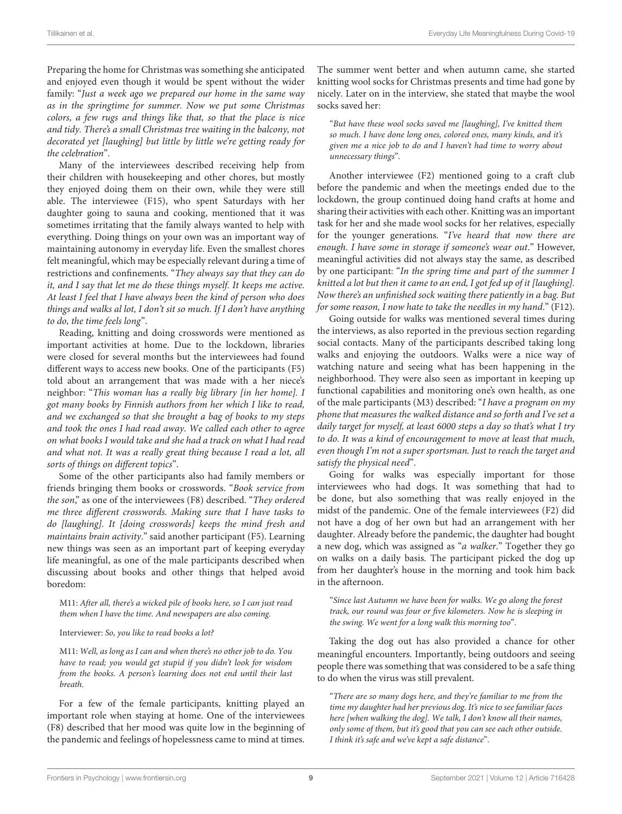Preparing the home for Christmas was something she anticipated and enjoyed even though it would be spent without the wider family: "Just a week ago we prepared our home in the same way as in the springtime for summer. Now we put some Christmas colors, a few rugs and things like that, so that the place is nice and tidy. There's a small Christmas tree waiting in the balcony, not decorated yet [laughing] but little by little we're getting ready for the celebration".

Many of the interviewees described receiving help from their children with housekeeping and other chores, but mostly they enjoyed doing them on their own, while they were still able. The interviewee (F15), who spent Saturdays with her daughter going to sauna and cooking, mentioned that it was sometimes irritating that the family always wanted to help with everything. Doing things on your own was an important way of maintaining autonomy in everyday life. Even the smallest chores felt meaningful, which may be especially relevant during a time of restrictions and confinements. "They always say that they can do it, and I say that let me do these things myself. It keeps me active. At least I feel that I have always been the kind of person who does things and walks al lot, I don't sit so much. If I don't have anything to do, the time feels long".

Reading, knitting and doing crosswords were mentioned as important activities at home. Due to the lockdown, libraries were closed for several months but the interviewees had found different ways to access new books. One of the participants (F5) told about an arrangement that was made with a her niece's neighbor: "This woman has a really big library [in her home]. I got many books by Finnish authors from her which I like to read, and we exchanged so that she brought a bag of books to my steps and took the ones I had read away. We called each other to agree on what books I would take and she had a track on what I had read and what not. It was a really great thing because I read a lot, all sorts of things on different topics".

Some of the other participants also had family members or friends bringing them books or crosswords. "Book service from the son," as one of the interviewees (F8) described. "They ordered me three different crosswords. Making sure that I have tasks to do [laughing]. It [doing crosswords] keeps the mind fresh and maintains brain activity." said another participant (F5). Learning new things was seen as an important part of keeping everyday life meaningful, as one of the male participants described when discussing about books and other things that helped avoid boredom:

M11: After all, there's a wicked pile of books here, so I can just read them when I have the time. And newspapers are also coming.

Interviewer: So, you like to read books a lot?

M11: Well, as long as I can and when there's no other job to do. You have to read; you would get stupid if you didn't look for wisdom from the books. A person's learning does not end until their last breath.

For a few of the female participants, knitting played an important role when staying at home. One of the interviewees (F8) described that her mood was quite low in the beginning of the pandemic and feelings of hopelessness came to mind at times.

The summer went better and when autumn came, she started knitting wool socks for Christmas presents and time had gone by nicely. Later on in the interview, she stated that maybe the wool socks saved her:

"But have these wool socks saved me [laughing], I've knitted them so much. I have done long ones, colored ones, many kinds, and it's given me a nice job to do and I haven't had time to worry about unnecessary things".

Another interviewee (F2) mentioned going to a craft club before the pandemic and when the meetings ended due to the lockdown, the group continued doing hand crafts at home and sharing their activities with each other. Knitting was an important task for her and she made wool socks for her relatives, especially for the younger generations. "I've heard that now there are enough. I have some in storage if someone's wear out." However, meaningful activities did not always stay the same, as described by one participant: "In the spring time and part of the summer I knitted a lot but then it came to an end, I got fed up of it [laughing]. Now there's an unfinished sock waiting there patiently in a bag. But for some reason, I now hate to take the needles in my hand." (F12).

Going outside for walks was mentioned several times during the interviews, as also reported in the previous section regarding social contacts. Many of the participants described taking long walks and enjoying the outdoors. Walks were a nice way of watching nature and seeing what has been happening in the neighborhood. They were also seen as important in keeping up functional capabilities and monitoring one's own health, as one of the male participants (M3) described: "I have a program on my phone that measures the walked distance and so forth and I've set a daily target for myself, at least 6000 steps a day so that's what I try to do. It was a kind of encouragement to move at least that much, even though I'm not a super sportsman. Just to reach the target and satisfy the physical need".

Going for walks was especially important for those interviewees who had dogs. It was something that had to be done, but also something that was really enjoyed in the midst of the pandemic. One of the female interviewees (F2) did not have a dog of her own but had an arrangement with her daughter. Already before the pandemic, the daughter had bought a new dog, which was assigned as "a walker." Together they go on walks on a daily basis. The participant picked the dog up from her daughter's house in the morning and took him back in the afternoon.

"Since last Autumn we have been for walks. We go along the forest track, our round was four or five kilometers. Now he is sleeping in the swing. We went for a long walk this morning too".

Taking the dog out has also provided a chance for other meaningful encounters. Importantly, being outdoors and seeing people there was something that was considered to be a safe thing to do when the virus was still prevalent.

"There are so many dogs here, and they're familiar to me from the time my daughter had her previous dog. It's nice to see familiar faces here [when walking the dog]. We talk, I don't know all their names, only some of them, but it's good that you can see each other outside. I think it's safe and we've kept a safe distance".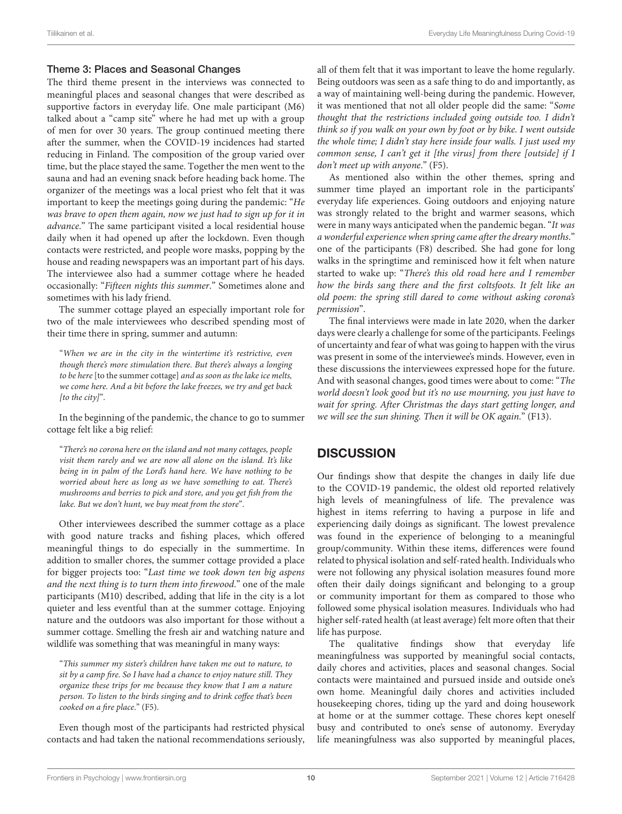#### Theme 3: Places and Seasonal Changes

The third theme present in the interviews was connected to meaningful places and seasonal changes that were described as supportive factors in everyday life. One male participant (M6) talked about a "camp site" where he had met up with a group of men for over 30 years. The group continued meeting there after the summer, when the COVID-19 incidences had started reducing in Finland. The composition of the group varied over time, but the place stayed the same. Together the men went to the sauna and had an evening snack before heading back home. The organizer of the meetings was a local priest who felt that it was important to keep the meetings going during the pandemic: "He was brave to open them again, now we just had to sign up for it in advance." The same participant visited a local residential house daily when it had opened up after the lockdown. Even though contacts were restricted, and people wore masks, popping by the house and reading newspapers was an important part of his days. The interviewee also had a summer cottage where he headed occasionally: "Fifteen nights this summer." Sometimes alone and sometimes with his lady friend.

The summer cottage played an especially important role for two of the male interviewees who described spending most of their time there in spring, summer and autumn:

"When we are in the city in the wintertime it's restrictive, even though there's more stimulation there. But there's always a longing to be here [to the summer cottage] and as soon as the lake ice melts, we come here. And a bit before the lake freezes, we try and get back [to the city]".

In the beginning of the pandemic, the chance to go to summer cottage felt like a big relief:

"There's no corona here on the island and not many cottages, people visit them rarely and we are now all alone on the island. It's like being in in palm of the Lord's hand here. We have nothing to be worried about here as long as we have something to eat. There's mushrooms and berries to pick and store, and you get fish from the lake. But we don't hunt, we buy meat from the store".

Other interviewees described the summer cottage as a place with good nature tracks and fishing places, which offered meaningful things to do especially in the summertime. In addition to smaller chores, the summer cottage provided a place for bigger projects too: "Last time we took down ten big aspens and the next thing is to turn them into firewood." one of the male participants (M10) described, adding that life in the city is a lot quieter and less eventful than at the summer cottage. Enjoying nature and the outdoors was also important for those without a summer cottage. Smelling the fresh air and watching nature and wildlife was something that was meaningful in many ways:

"This summer my sister's children have taken me out to nature, to sit by a camp fire. So I have had a chance to enjoy nature still. They organize these trips for me because they know that I am a nature person. To listen to the birds singing and to drink coffee that's been cooked on a fire place." (F5).

Even though most of the participants had restricted physical contacts and had taken the national recommendations seriously, all of them felt that it was important to leave the home regularly. Being outdoors was seen as a safe thing to do and importantly, as a way of maintaining well-being during the pandemic. However, it was mentioned that not all older people did the same: "Some thought that the restrictions included going outside too. I didn't think so if you walk on your own by foot or by bike. I went outside the whole time; I didn't stay here inside four walls. I just used my common sense, I can't get it [the virus] from there [outside] if I don't meet up with anyone." (F5).

As mentioned also within the other themes, spring and summer time played an important role in the participants' everyday life experiences. Going outdoors and enjoying nature was strongly related to the bright and warmer seasons, which were in many ways anticipated when the pandemic began. "It was a wonderful experience when spring came after the dreary months." one of the participants (F8) described. She had gone for long walks in the springtime and reminisced how it felt when nature started to wake up: "There's this old road here and I remember how the birds sang there and the first coltsfoots. It felt like an old poem: the spring still dared to come without asking corona's permission".

The final interviews were made in late 2020, when the darker days were clearly a challenge for some of the participants. Feelings of uncertainty and fear of what was going to happen with the virus was present in some of the interviewee's minds. However, even in these discussions the interviewees expressed hope for the future. And with seasonal changes, good times were about to come: "The world doesn't look good but it's no use mourning, you just have to wait for spring. After Christmas the days start getting longer, and we will see the sun shining. Then it will be OK again." (F13).

## **DISCUSSION**

Our findings show that despite the changes in daily life due to the COVID-19 pandemic, the oldest old reported relatively high levels of meaningfulness of life. The prevalence was highest in items referring to having a purpose in life and experiencing daily doings as significant. The lowest prevalence was found in the experience of belonging to a meaningful group/community. Within these items, differences were found related to physical isolation and self-rated health. Individuals who were not following any physical isolation measures found more often their daily doings significant and belonging to a group or community important for them as compared to those who followed some physical isolation measures. Individuals who had higher self-rated health (at least average) felt more often that their life has purpose.

The qualitative findings show that everyday life meaningfulness was supported by meaningful social contacts, daily chores and activities, places and seasonal changes. Social contacts were maintained and pursued inside and outside one's own home. Meaningful daily chores and activities included housekeeping chores, tiding up the yard and doing housework at home or at the summer cottage. These chores kept oneself busy and contributed to one's sense of autonomy. Everyday life meaningfulness was also supported by meaningful places,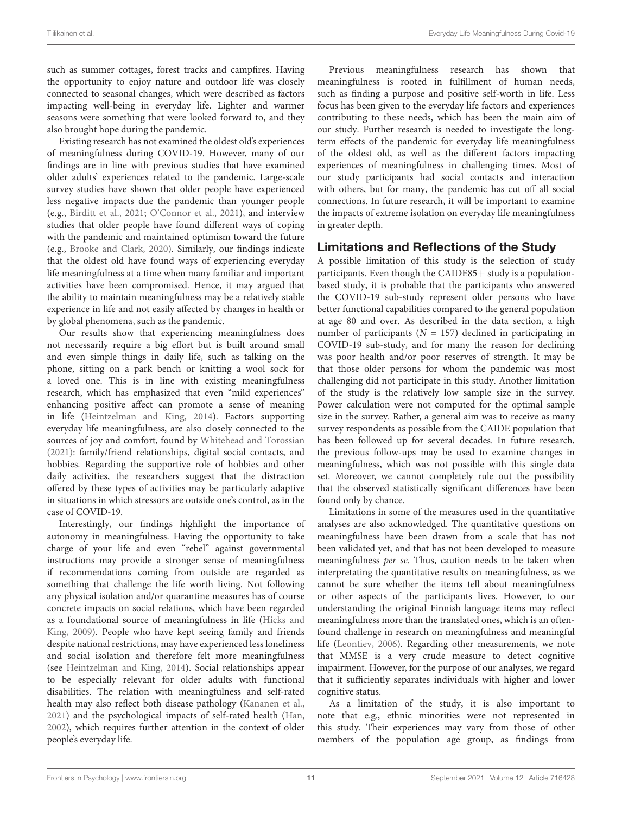such as summer cottages, forest tracks and campfires. Having the opportunity to enjoy nature and outdoor life was closely connected to seasonal changes, which were described as factors impacting well-being in everyday life. Lighter and warmer seasons were something that were looked forward to, and they also brought hope during the pandemic.

Existing research has not examined the oldest old's experiences of meaningfulness during COVID-19. However, many of our findings are in line with previous studies that have examined older adults' experiences related to the pandemic. Large-scale survey studies have shown that older people have experienced less negative impacts due the pandemic than younger people (e.g., [Birditt et al.,](#page-12-12) [2021;](#page-12-12) [O'Connor et al.,](#page-12-13) [2021\)](#page-12-13), and interview studies that older people have found different ways of coping with the pandemic and maintained optimism toward the future (e.g., [Brooke and Clark,](#page-12-16) [2020\)](#page-12-16). Similarly, our findings indicate that the oldest old have found ways of experiencing everyday life meaningfulness at a time when many familiar and important activities have been compromised. Hence, it may argued that the ability to maintain meaningfulness may be a relatively stable experience in life and not easily affected by changes in health or by global phenomena, such as the pandemic.

Our results show that experiencing meaningfulness does not necessarily require a big effort but is built around small and even simple things in daily life, such as talking on the phone, sitting on a park bench or knitting a wool sock for a loved one. This is in line with existing meaningfulness research, which has emphasized that even "mild experiences" enhancing positive affect can promote a sense of meaning in life [\(Heintzelman and King,](#page-12-10) [2014\)](#page-12-10). Factors supporting everyday life meaningfulness, are also closely connected to the sources of joy and comfort, found by [Whitehead and Torossian](#page-12-18) [\(2021\)](#page-12-18): family/friend relationships, digital social contacts, and hobbies. Regarding the supportive role of hobbies and other daily activities, the researchers suggest that the distraction offered by these types of activities may be particularly adaptive in situations in which stressors are outside one's control, as in the case of COVID-19.

Interestingly, our findings highlight the importance of autonomy in meaningfulness. Having the opportunity to take charge of your life and even "rebel" against governmental instructions may provide a stronger sense of meaningfulness if recommendations coming from outside are regarded as something that challenge the life worth living. Not following any physical isolation and/or quarantine measures has of course concrete impacts on social relations, which have been regarded as a foundational source of meaningfulness in life [\(Hicks and](#page-12-9) [King,](#page-12-9) [2009\)](#page-12-9). People who have kept seeing family and friends despite national restrictions, may have experienced less loneliness and social isolation and therefore felt more meaningfulness (see [Heintzelman and King,](#page-12-10) [2014\)](#page-12-10). Social relationships appear to be especially relevant for older adults with functional disabilities. The relation with meaningfulness and self-rated health may also reflect both disease pathology [\(Kananen et al.,](#page-12-27) [2021\)](#page-12-27) and the psychological impacts of self-rated health [\(Han,](#page-12-28) [2002\)](#page-12-28), which requires further attention in the context of older people's everyday life.

Previous meaningfulness research has shown that meaningfulness is rooted in fulfillment of human needs, such as finding a purpose and positive self-worth in life. Less focus has been given to the everyday life factors and experiences contributing to these needs, which has been the main aim of our study. Further research is needed to investigate the longterm effects of the pandemic for everyday life meaningfulness of the oldest old, as well as the different factors impacting experiences of meaningfulness in challenging times. Most of our study participants had social contacts and interaction with others, but for many, the pandemic has cut off all social connections. In future research, it will be important to examine the impacts of extreme isolation on everyday life meaningfulness in greater depth.

### Limitations and Reflections of the Study

A possible limitation of this study is the selection of study participants. Even though the CAIDE85+ study is a populationbased study, it is probable that the participants who answered the COVID-19 sub-study represent older persons who have better functional capabilities compared to the general population at age 80 and over. As described in the data section, a high number of participants ( $N = 157$ ) declined in participating in COVID-19 sub-study, and for many the reason for declining was poor health and/or poor reserves of strength. It may be that those older persons for whom the pandemic was most challenging did not participate in this study. Another limitation of the study is the relatively low sample size in the survey. Power calculation were not computed for the optimal sample size in the survey. Rather, a general aim was to receive as many survey respondents as possible from the CAIDE population that has been followed up for several decades. In future research, the previous follow-ups may be used to examine changes in meaningfulness, which was not possible with this single data set. Moreover, we cannot completely rule out the possibility that the observed statistically significant differences have been found only by chance.

Limitations in some of the measures used in the quantitative analyses are also acknowledged. The quantitative questions on meaningfulness have been drawn from a scale that has not been validated yet, and that has not been developed to measure meaningfulness per se. Thus, caution needs to be taken when interpretating the quantitative results on meaningfulness, as we cannot be sure whether the items tell about meaningfulness or other aspects of the participants lives. However, to our understanding the original Finnish language items may reflect meaningfulness more than the translated ones, which is an oftenfound challenge in research on meaningfulness and meaningful life [\(Leontiev,](#page-12-29) [2006\)](#page-12-29). Regarding other measurements, we note that MMSE is a very crude measure to detect cognitive impairment. However, for the purpose of our analyses, we regard that it sufficiently separates individuals with higher and lower cognitive status.

As a limitation of the study, it is also important to note that e.g., ethnic minorities were not represented in this study. Their experiences may vary from those of other members of the population age group, as findings from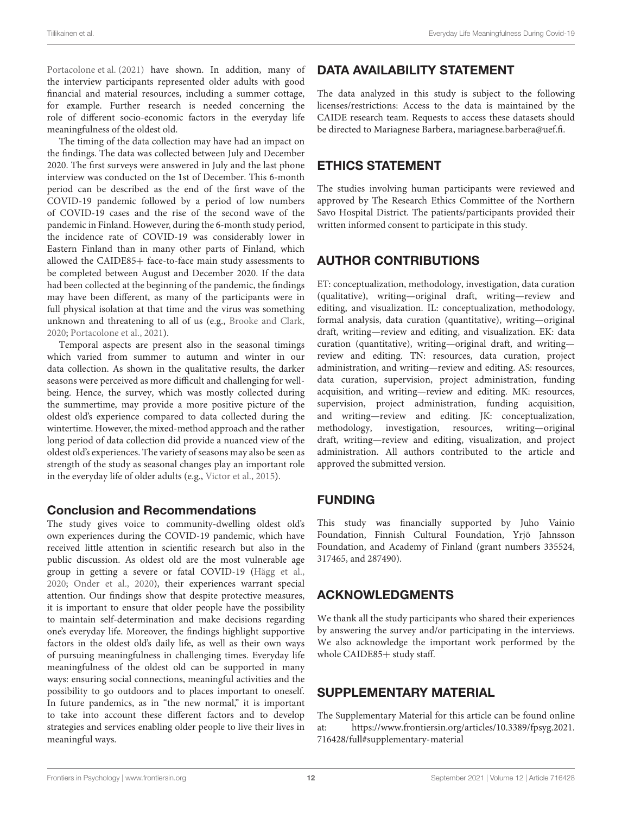[Portacolone et al.](#page-12-17) [\(2021\)](#page-12-17) have shown. In addition, many of the interview participants represented older adults with good financial and material resources, including a summer cottage, for example. Further research is needed concerning the role of different socio-economic factors in the everyday life meaningfulness of the oldest old.

The timing of the data collection may have had an impact on the findings. The data was collected between July and December 2020. The first surveys were answered in July and the last phone interview was conducted on the 1st of December. This 6-month period can be described as the end of the first wav[e](#page-0-0) of the COVID-19 pandemic followed by a period of low numbers of COVID-19 cases and the rise of the second wave of the pandemic in Finland. However, during the 6-month study period, the incidence rate of COVID-19 was considerably lower in Eastern Finland than in many other parts of Finland, which allowed the CAIDE85+ face-to-face main study assessments to be completed between August and December 2020. If the data had been collected at the beginning of the pandemic, the findings may have been different, as many of the participants were in full physical isolation at that time and the virus was something unknown and threatening to all of us (e.g., [Brooke and Clark,](#page-12-16) [2020;](#page-12-16) [Portacolone et al.,](#page-12-17) [2021\)](#page-12-17).

Temporal aspects are present also in the seasonal timings which varied from summer to autumn and winter in our data collection. As shown in the qualitative results, the darker seasons were perceived as more difficult and challenging for wellbeing. Hence, the survey, which was mostly collected during the summertime, may provide a more positive picture of the oldest old's experience compared to data collected during the wintertime. However, the mixed-method approach and the rather long period of data collection did provide a nuanced view of the oldest old's experiences. The variety of seasons may also be seen as strength of the study as seasonal changes play an important role in the everyday life of older adults (e.g., [Victor et al.,](#page-12-30) [2015\)](#page-12-30).

#### Conclusion and Recommendations

The study gives voice to community-dwelling oldest old's own experiences during the COVID-19 pandemic, which have received little attention in scientific research but also in the public discussion. As oldest old are the most vulnerable age group in getting a severe or fatal COVID-19 [\(Hägg et al.,](#page-12-31) [2020;](#page-12-31) [Onder et al.,](#page-12-32) [2020\)](#page-12-32), their experiences warrant special attention. Our findings show that despite protective measures, it is important to ensure that older people have the possibility to maintain self-determination and make decisions regarding one's everyday life. Moreover, the findings highlight supportive factors in the oldest old's daily life, as well as their own ways of pursuing meaningfulness in challenging times. Everyday life meaningfulness of the oldest old can be supported in many ways: ensuring social connections, meaningful activities and the possibility to go outdoors and to places important to oneself. In future pandemics, as in "the new normal," it is important to take into account these different factors and to develop strategies and services enabling older people to live their lives in meaningful ways.

### DATA AVAILABILITY STATEMENT

The data analyzed in this study is subject to the following licenses/restrictions: Access to the data is maintained by the CAIDE research team. Requests to access these datasets should be directed to Mariagnese Barbera, [mariagnese.barbera@uef.fi.](httep://mariagnese.barbera@uef.fi.)

### ETHICS STATEMENT

The studies involving human participants were reviewed and approved by The Research Ethics Committee of the Northern Savo Hospital District. The patients/participants provided their written informed consent to participate in this study.

### AUTHOR CONTRIBUTIONS

ET: conceptualization, methodology, investigation, data curation (qualitative), writing—original draft, writing—review and editing, and visualization. IL: conceptualization, methodology, formal analysis, data curation (quantitative), writing—original draft, writing—review and editing, and visualization. EK: data curation (quantitative), writing—original draft, and writing review and editing. TN: resources, data curation, project administration, and writing—review and editing. AS: resources, data curation, supervision, project administration, funding acquisition, and writing—review and editing. MK: resources, supervision, project administration, funding acquisition, and writing—review and editing. JK: conceptualization, methodology, investigation, resources, writing—original draft, writing—review and editing, visualization, and project administration. All authors contributed to the article and approved the submitted version.

### FUNDING

This study was financially supported by Juho Vainio Foundation, Finnish Cultural Foundation, Yrjö Jahnsson Foundation, and Academy of Finland (grant numbers 335524, 317465, and 287490).

### ACKNOWLEDGMENTS

We thank all the study participants who shared their experiences by answering the survey and/or participating in the interviews. We also acknowledge the important work performed by the whole CAIDE85+ study staff.

### <span id="page-11-0"></span>SUPPLEMENTARY MATERIAL

The Supplementary Material for this article can be found online at: [https://www.frontiersin.org/articles/10.3389/fpsyg.2021.](https://www.frontiersin.org/articles/10.3389/fpsyg.2021.716428/full#supplementary-material) [716428/full#supplementary-material](https://www.frontiersin.org/articles/10.3389/fpsyg.2021.716428/full#supplementary-material)